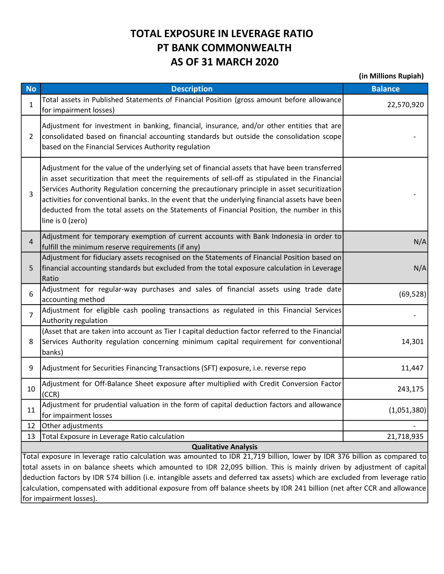## TOTAL EXPOSURE IN LEVERAGE RATIO PT BANK COMMONWEALTH AS OF 31 MARCH 2020

(in Millions Rupiah)

| <b>No</b>                                                                                                                 | <b>Description</b>                                                                                                                                                                                                                                                                                                                                                                                                                                                                                                 | <b>Balance</b> |  |  |  |
|---------------------------------------------------------------------------------------------------------------------------|--------------------------------------------------------------------------------------------------------------------------------------------------------------------------------------------------------------------------------------------------------------------------------------------------------------------------------------------------------------------------------------------------------------------------------------------------------------------------------------------------------------------|----------------|--|--|--|
| $\mathbf{1}$                                                                                                              | Total assets in Published Statements of Financial Position (gross amount before allowance<br>for impairment losses)                                                                                                                                                                                                                                                                                                                                                                                                | 22,570,920     |  |  |  |
| $\overline{2}$                                                                                                            | Adjustment for investment in banking, financial, insurance, and/or other entities that are<br>consolidated based on financial accounting standards but outside the consolidation scope<br>based on the Financial Services Authority regulation                                                                                                                                                                                                                                                                     |                |  |  |  |
| 3                                                                                                                         | Adjustment for the value of the underlying set of financial assets that have been transferred<br>in asset securitization that meet the requirements of sell-off as stipulated in the Financial<br>Services Authority Regulation concerning the precautionary principle in asset securitization<br>activities for conventional banks. In the event that the underlying financial assets have been<br>deducted from the total assets on the Statements of Financial Position, the number in this<br>line is 0 (zero) |                |  |  |  |
| $\overline{4}$                                                                                                            | Adjustment for temporary exemption of current accounts with Bank Indonesia in order to<br>fulfill the minimum reserve requirements (if any)                                                                                                                                                                                                                                                                                                                                                                        | N/A            |  |  |  |
| 5.                                                                                                                        | Adjustment for fiduciary assets recognised on the Statements of Financial Position based on<br>financial accounting standards but excluded from the total exposure calculation in Leverage<br>Ratio                                                                                                                                                                                                                                                                                                                | N/A            |  |  |  |
| 6                                                                                                                         | Adjustment for regular-way purchases and sales of financial assets using trade date<br>accounting method                                                                                                                                                                                                                                                                                                                                                                                                           | (69, 528)      |  |  |  |
| 7                                                                                                                         | Adjustment for eligible cash pooling transactions as regulated in this Financial Services<br>Authority regulation                                                                                                                                                                                                                                                                                                                                                                                                  |                |  |  |  |
| 8                                                                                                                         | (Asset that are taken into account as Tier I capital deduction factor referred to the Financial<br>Services Authority regulation concerning minimum capital requirement for conventional<br>banks)                                                                                                                                                                                                                                                                                                                 | 14,301         |  |  |  |
| 9                                                                                                                         | Adjustment for Securities Financing Transactions (SFT) exposure, i.e. reverse repo                                                                                                                                                                                                                                                                                                                                                                                                                                 | 11,447         |  |  |  |
| 10                                                                                                                        | Adjustment for Off-Balance Sheet exposure after multiplied with Credit Conversion Factor<br>(CCR)                                                                                                                                                                                                                                                                                                                                                                                                                  | 243,175        |  |  |  |
| 11                                                                                                                        | Adjustment for prudential valuation in the form of capital deduction factors and allowance<br>for impairment losses                                                                                                                                                                                                                                                                                                                                                                                                | (1,051,380)    |  |  |  |
| 12                                                                                                                        | Other adjustments                                                                                                                                                                                                                                                                                                                                                                                                                                                                                                  |                |  |  |  |
| 13                                                                                                                        | Total Exposure in Leverage Ratio calculation<br><b>Qualitative Analysis</b>                                                                                                                                                                                                                                                                                                                                                                                                                                        | 21,718,935     |  |  |  |
| Total exposure in leverage ratio calculation was amounted to IDR 21,719 billion, lower by IDR 376 billion as compared to  |                                                                                                                                                                                                                                                                                                                                                                                                                                                                                                                    |                |  |  |  |
|                                                                                                                           | total assets in on balance sheets which amounted to IDR 22,095 billion. This is mainly driven by adjustment of capital                                                                                                                                                                                                                                                                                                                                                                                             |                |  |  |  |
|                                                                                                                           | deduction factors by IDR 574 billion (i.e. intangible assets and deferred tax assets) which are excluded from leverage ratio                                                                                                                                                                                                                                                                                                                                                                                       |                |  |  |  |
| calculation, compensated with additional exposure from off balance sheets by IDR 241 billion (net after CCR and allowance |                                                                                                                                                                                                                                                                                                                                                                                                                                                                                                                    |                |  |  |  |

for impairment losses).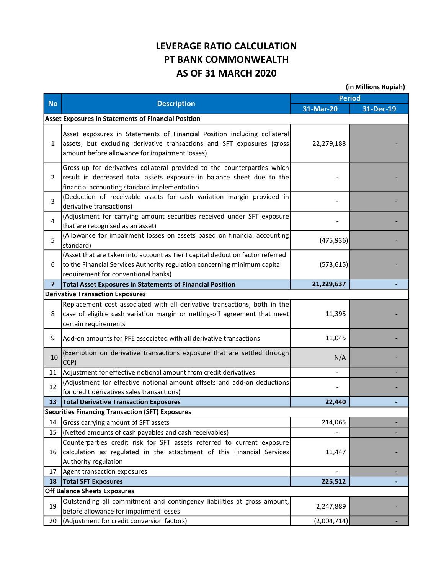## LEVERAGE RATIO CALCULATION PT BANK COMMONWEALTH AS OF 31 MARCH 2020

(in Millions Rupiah)

| <b>No</b>      | <b>Description</b>                                                                                                                                                                                    | <b>Period</b>            |           |
|----------------|-------------------------------------------------------------------------------------------------------------------------------------------------------------------------------------------------------|--------------------------|-----------|
|                |                                                                                                                                                                                                       | 31-Mar-20                | 31-Dec-19 |
|                | <b>Asset Exposures in Statements of Financial Position</b>                                                                                                                                            |                          |           |
| 1              | Asset exposures in Statements of Financial Position including collateral<br>assets, but excluding derivative transactions and SFT exposures (gross)<br>amount before allowance for impairment losses) | 22,279,188               |           |
| 2              | Gross-up for derivatives collateral provided to the counterparties which<br>result in decreased total assets exposure in balance sheet due to the<br>financial accounting standard implementation     |                          |           |
| 3              | (Deduction of receivable assets for cash variation margin provided in<br>derivative transactions)                                                                                                     |                          |           |
| 4              | (Adjustment for carrying amount securities received under SFT exposure<br>that are recognised as an asset)                                                                                            |                          |           |
| 5              | (Allowance for impairment losses on assets based on financial accounting<br>standard)                                                                                                                 | (475, 936)               |           |
| 6              | (Asset that are taken into account as Tier I capital deduction factor referred<br>to the Financial Services Authority regulation concerning minimum capital<br>requirement for conventional banks)    | (573, 615)               |           |
| $\overline{7}$ | <b>Total Asset Exposures in Statements of Financial Position</b>                                                                                                                                      | 21,229,637               |           |
|                | <b>Derivative Transaction Exposures</b>                                                                                                                                                               |                          |           |
| 8              | Replacement cost associated with all derivative transactions, both in the<br>case of eligible cash variation margin or netting-off agreement that meet<br>certain requirements                        | 11,395                   |           |
| 9              | lAdd-on amounts for PFE associated with all derivative transactions                                                                                                                                   | 11,045                   |           |
| 10             | (Exemption on derivative transactions exposure that are settled through<br>$ CCP\rangle$                                                                                                              | N/A                      |           |
| 11             | Adjustment for effective notional amount from credit derivatives                                                                                                                                      | $\overline{\phantom{a}}$ |           |
| 12             | (Adjustment for effective notional amount offsets and add-on deductions<br>for credit derivatives sales transactions)                                                                                 |                          |           |
| 13             | <b>Total Derivative Transaction Exposures</b>                                                                                                                                                         | 22,440                   |           |
|                | <b>Securities Financing Transaction (SFT) Exposures</b>                                                                                                                                               |                          |           |
| 14             | Gross carrying amount of SFT assets                                                                                                                                                                   | 214,065                  |           |
| 15             | (Netted amounts of cash payables and cash receivables)                                                                                                                                                |                          |           |
| 16             | Counterparties credit risk for SFT assets referred to current exposure<br>calculation as regulated in the attachment of this Financial Services<br>Authority regulation                               | 11,447                   |           |
| 17             | Agent transaction exposures                                                                                                                                                                           |                          |           |
| 18             | <b>Total SFT Exposures</b>                                                                                                                                                                            | 225,512                  |           |
|                | <b>Off Balance Sheets Exposures</b>                                                                                                                                                                   |                          |           |
| 19             | Outstanding all commitment and contingency liabilities at gross amount,<br>before allowance for impairment losses                                                                                     | 2,247,889                |           |
| 20             | (Adjustment for credit conversion factors)                                                                                                                                                            | (2,004,714)              |           |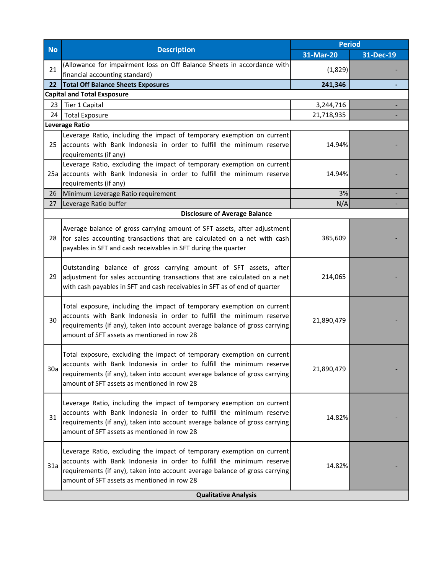| <b>No</b>                   | <b>Description</b>                                                                                                                                                                                                                                                           | <b>Period</b> |           |  |
|-----------------------------|------------------------------------------------------------------------------------------------------------------------------------------------------------------------------------------------------------------------------------------------------------------------------|---------------|-----------|--|
|                             |                                                                                                                                                                                                                                                                              | 31-Mar-20     | 31-Dec-19 |  |
| 21                          | (Allowance for impairment loss on Off Balance Sheets in accordance with<br>financial accounting standard)                                                                                                                                                                    | (1,829)       |           |  |
| 22                          | <b>Total Off Balance Sheets Exposures</b>                                                                                                                                                                                                                                    | 241,346       |           |  |
|                             | <b>Capital and Total Exsposure</b>                                                                                                                                                                                                                                           |               |           |  |
| 23                          | Tier 1 Capital                                                                                                                                                                                                                                                               | 3,244,716     |           |  |
| 24                          | <b>Total Exposure</b>                                                                                                                                                                                                                                                        | 21,718,935    |           |  |
|                             | Leverage Ratio                                                                                                                                                                                                                                                               |               |           |  |
| 25                          | Leverage Ratio, including the impact of temporary exemption on current<br>accounts with Bank Indonesia in order to fulfill the minimum reserve<br>requirements (if any)                                                                                                      | 14.94%        |           |  |
| 25a                         | Leverage Ratio, excluding the impact of temporary exemption on current<br>accounts with Bank Indonesia in order to fulfill the minimum reserve<br>requirements (if any)                                                                                                      | 14.94%        |           |  |
| 26                          | Minimum Leverage Ratio requirement                                                                                                                                                                                                                                           | 3%            |           |  |
| 27                          | Leverage Ratio buffer                                                                                                                                                                                                                                                        | N/A           |           |  |
|                             | <b>Disclosure of Average Balance</b>                                                                                                                                                                                                                                         |               |           |  |
| 28                          | Average balance of gross carrying amount of SFT assets, after adjustment<br>for sales accounting transactions that are calculated on a net with cash<br>payables in SFT and cash receivables in SFT during the quarter                                                       | 385,609       |           |  |
| 29                          | Outstanding balance of gross carrying amount of SFT assets, after<br>adjustment for sales accounting transactions that are calculated on a net<br>with cash payables in SFT and cash receivables in SFT as of end of quarter                                                 | 214,065       |           |  |
| 30                          | Total exposure, including the impact of temporary exemption on current<br>accounts with Bank Indonesia in order to fulfill the minimum reserve<br>requirements (if any), taken into account average balance of gross carrying<br>amount of SFT assets as mentioned in row 28 | 21,890,479    |           |  |
| 30a                         | Total exposure, excluding the impact of temporary exemption on current<br>accounts with Bank Indonesia in order to fulfill the minimum reserve<br>requirements (if any), taken into account average balance of gross carrying<br>amount of SFT assets as mentioned in row 28 | 21,890,479    |           |  |
| 31                          | Leverage Ratio, including the impact of temporary exemption on current<br>accounts with Bank Indonesia in order to fulfill the minimum reserve<br>requirements (if any), taken into account average balance of gross carrying<br>amount of SFT assets as mentioned in row 28 | 14.82%        |           |  |
| 31a                         | Leverage Ratio, excluding the impact of temporary exemption on current<br>accounts with Bank Indonesia in order to fulfill the minimum reserve<br>requirements (if any), taken into account average balance of gross carrying<br>amount of SFT assets as mentioned in row 28 | 14.82%        |           |  |
| <b>Qualitative Analysis</b> |                                                                                                                                                                                                                                                                              |               |           |  |